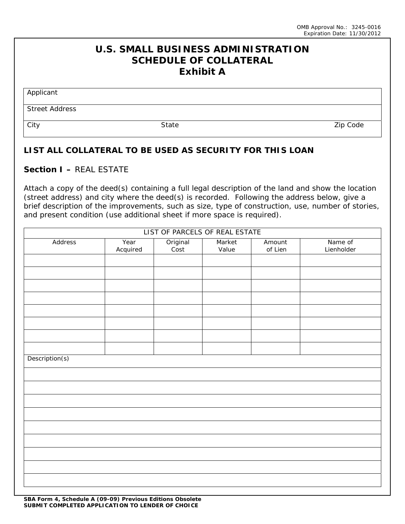## **U.S. SMALL BUSINESS ADMINISTRATION SCHEDULE OF COLLATERAL Exhibit A**

Applicant

Street Address

City State Zip Code

## **LIST ALL COLLATERAL TO BE USED AS SECURITY FOR THIS LOAN**

## **Section I –** REAL ESTATE

Attach a copy of the deed(s) containing a full legal description of the land and show the location (street address) and city where the deed(s) is recorded. Following the address below, give a brief description of the improvements, such as size, type of construction, use, number of stories, and present condition (use additional sheet if more space is required).

| LIST OF PARCELS OF REAL ESTATE |          |                  |        |         |            |  |  |
|--------------------------------|----------|------------------|--------|---------|------------|--|--|
| Address                        | Year     | Original<br>Cost | Market | Amount  | Name of    |  |  |
|                                | Acquired |                  | Value  | of Lien | Lienholder |  |  |
|                                |          |                  |        |         |            |  |  |
|                                |          |                  |        |         |            |  |  |
|                                |          |                  |        |         |            |  |  |
|                                |          |                  |        |         |            |  |  |
|                                |          |                  |        |         |            |  |  |
|                                |          |                  |        |         |            |  |  |
|                                |          |                  |        |         |            |  |  |
|                                |          |                  |        |         |            |  |  |
|                                |          |                  |        |         |            |  |  |
| Description(s)                 |          |                  |        |         |            |  |  |
|                                |          |                  |        |         |            |  |  |
|                                |          |                  |        |         |            |  |  |
|                                |          |                  |        |         |            |  |  |
|                                |          |                  |        |         |            |  |  |
|                                |          |                  |        |         |            |  |  |
|                                |          |                  |        |         |            |  |  |
|                                |          |                  |        |         |            |  |  |
|                                |          |                  |        |         |            |  |  |
|                                |          |                  |        |         |            |  |  |
|                                |          |                  |        |         |            |  |  |
|                                |          |                  |        |         |            |  |  |
|                                |          |                  |        |         |            |  |  |
|                                |          |                  |        |         |            |  |  |